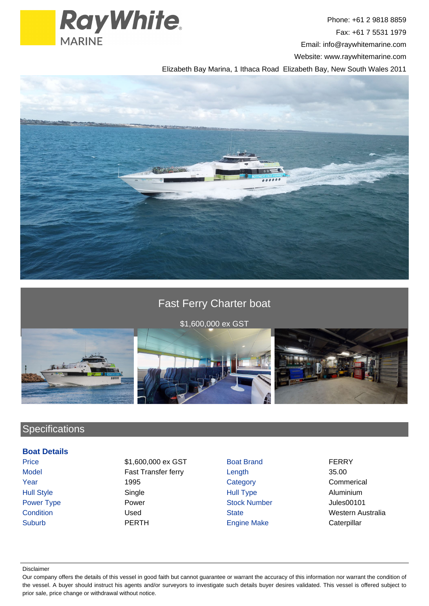

Phone: +61 2 9818 8859 Fax: +61 7 5531 1979 Email: info@raywhitemarine.com Website: www.raywhitemarine.com

Elizabeth Bay Marina, 1 Ithaca Road Elizabeth Bay, New South Wales 2011



# Fast Ferry Charter boat

\$1,600,000 ex GST



## **Specifications**

#### **Boat Details**

Price **\$1,600,000 ex GST** Boat Brand **FERRY** Model **Fast Transfer ferry** Length 35.00 Year 1995 Category Category Commerical Hull Style Single Hull Type Aluminium Power Type **Power Stock Number** Power Stock Number Power All the Stock Number Power Power Power Stock Number **Condition Condition Used Condition Used** State State **State** Western Australia Suburb PERTH PERTH Engine Make Caterpillar

#### Disclaimer

Our company offers the details of this vessel in good faith but cannot guarantee or warrant the accuracy of this information nor warrant the condition of the vessel. A buyer should instruct his agents and/or surveyors to investigate such details buyer desires validated. This vessel is offered subject to prior sale, price change or withdrawal without notice.